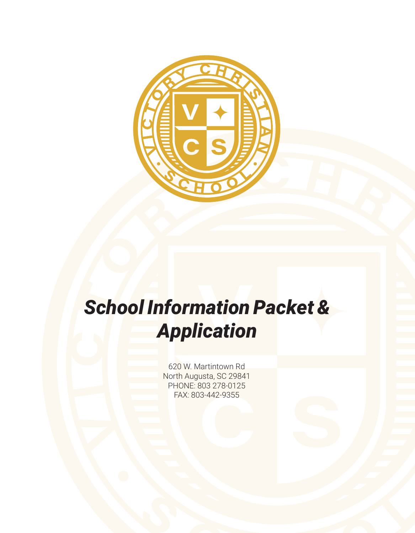

## *School Information Packet & Application*

620 W. Martintown Rd North Augusta, SC 29841 PHONE: 803 278-0125 FAX: 803-442-9355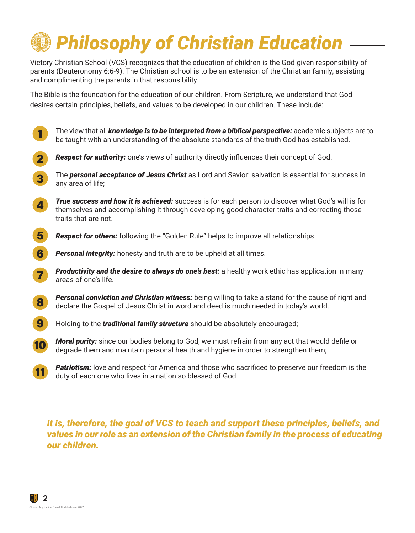# *Philosophy of Christian Education*

Victory Christian School (VCS) recognizes that the education of children is the God-given responsibility of parents (Deuteronomy 6:6-9). The Christian school is to be an extension of the Christian family, assisting and complimenting the parents in that responsibility.

The Bible is the foundation for the education of our children. From Scripture, we understand that God desires certain principles, beliefs, and values to be developed in our children. These include:



*It is, therefore, the goal of VCS to teach and support these principles, beliefs, and values in our role as an extension of the Christian family in the process of educating our children.*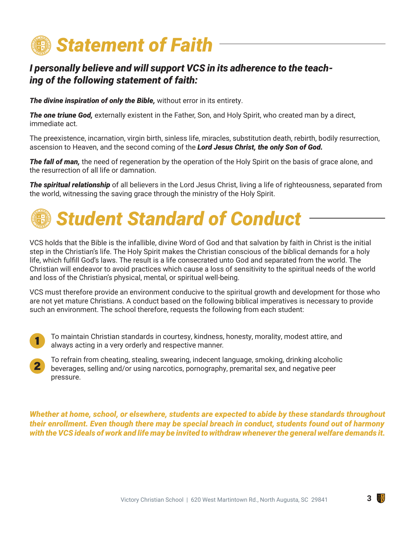

#### *I personally believe and will support VCS in its adherence to the teaching of the following statement of faith:*

**The divine inspiration of only the Bible,** without error in its entirety.

*The one triune God,* externally existent in the Father, Son, and Holy Spirit, who created man by a direct, immediate act.

The preexistence, incarnation, virgin birth, sinless life, miracles, substitution death, rebirth, bodily resurrection, ascension to Heaven, and the second coming of the *Lord Jesus Christ, the only Son of God.*

*The fall of man,* the need of regeneration by the operation of the Holy Spirit on the basis of grace alone, and the resurrection of all life or damnation.

*The spiritual relationship* of all believers in the Lord Jesus Christ, living a life of righteousness, separated from the world, witnessing the saving grace through the ministry of the Holy Spirit.

## *Student Standard of Conduct*

VCS holds that the Bible is the infallible, divine Word of God and that salvation by faith in Christ is the initial step in the Christian's life. The Holy Spirit makes the Christian conscious of the biblical demands for a holy life, which fulfill God's laws. The result is a life consecrated unto God and separated from the world. The Christian will endeavor to avoid practices which cause a loss of sensitivity to the spiritual needs of the world and loss of the Christian's physical, mental, or spiritual well-being.

VCS must therefore provide an environment conducive to the spiritual growth and development for those who are not yet mature Christians. A conduct based on the following biblical imperatives is necessary to provide such an environment. The school therefore, requests the following from each student:

- To maintain Christian standards in courtesy, kindness, honesty, morality, modest attire, and always acting in a very orderly and respective manner. 1
- To refrain from cheating, stealing, swearing, indecent language, smoking, drinking alcoholic beverages, selling and/or using narcotics, pornography, premarital sex, and negative peer pressure. 2

*Whether at home, school, or elsewhere, students are expected to abide by these standards throughout their enrollment. Even though there may be special breach in conduct, students found out of harmony with the VCS ideals of work and life may be invited to withdraw whenever the general welfare demands it.*

 $\frac{v}{c}$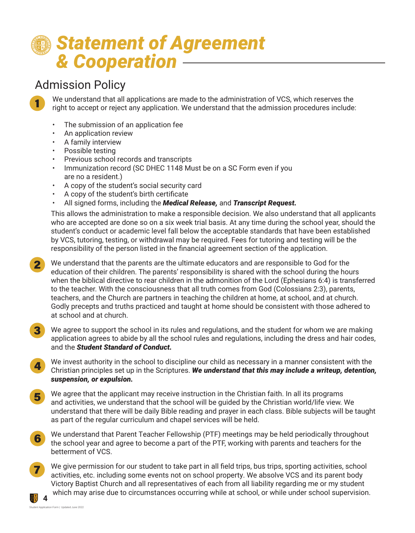## *Statement of Agreement & Cooperation*

### Admission Policy

1

We understand that all applications are made to the administration of VCS, which reserves the right to accept or reject any application. We understand that the admission procedures include:

- The submission of an application fee
- An application review
- A family interview
- Possible testing
- Previous school records and transcripts
- Immunization record (SC DHEC 1148 Must be on a SC Form even if you are no a resident.)
- A copy of the student's social security card
- A copy of the student's birth certificate
- All signed forms, including the *Medical Release,* and *Transcript Request.*

This allows the administration to make a responsible decision. We also understand that all applicants who are accepted are done so on a six week trial basis. At any time during the school year, should the student's conduct or academic level fall below the acceptable standards that have been established by VCS, tutoring, testing, or withdrawal may be required. Fees for tutoring and testing will be the responsibility of the person listed in the financial agreement section of the application.

- We understand that the parents are the ultimate educators and are responsible to God for the education of their children. The parents' responsibility is shared with the school during the hours when the biblical directive to rear children in the admonition of the Lord (Ephesians 6:4) is transferred to the teacher. With the consciousness that all truth comes from God (Colossians 2:3), parents, teachers, and the Church are partners in teaching the children at home, at school, and at church. Godly precepts and truths practiced and taught at home should be consistent with those adhered to at school and at church. 2
- We agree to support the school in its rules and regulations, and the student for whom we are making application agrees to abide by all the school rules and regulations, including the dress and hair codes, and the *Student Standard of Conduct.* 3
- We invest authority in the school to discipline our child as necessary in a manner consistent with the Christian principles set up in the Scriptures. *We understand that this may include a writeup, detention, suspension, or expulsion.* 4
- We agree that the applicant may receive instruction in the Christian faith. In all its programs and activities, we understand that the school will be guided by the Christian world/life view. We understand that there will be daily Bible reading and prayer in each class. Bible subjects will be taught as part of the regular curriculum and chapel services will be held. 5
- We understand that Parent Teacher Fellowship (PTF) meetings may be held periodically throughout the school year and agree to become a part of the PTF, working with parents and teachers for the betterment of VCS. 6
- 7

**4**

We give permission for our student to take part in all field trips, bus trips, sporting activities, school activities, etc. including some events not on school property. We absolve VCS and its parent body Victory Baptist Church and all representatives of each from all liability regarding me or my student which may arise due to circumstances occurring while at school, or while under school supervision.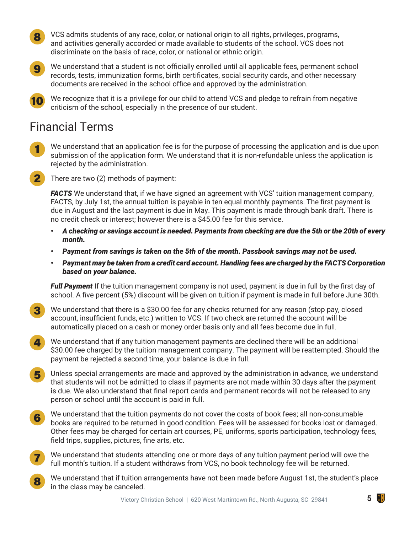VCS admits students of any race, color, or national origin to all rights, privileges, programs, and activities generally accorded or made available to students of the school. VCS does not discriminate on the basis of race, color, or national or ethnic origin. 8



7

We understand that a student is not officially enrolled until all applicable fees, permanent school records, tests, immunization forms, birth certificates, social security cards, and other necessary documents are received in the school office and approved by the administration.

We recognize that it is a privilege for our child to attend VCS and pledge to refrain from negative criticism of the school, especially in the presence of our student. 10

### Financial Terms

- We understand that an application fee is for the purpose of processing the application and is due upon submission of the application form. We understand that it is non-refundable unless the application is rejected by the administration. 1
- There are two (2) methods of payment: 2

*FACTS* We understand that, if we have signed an agreement with VCS' tuition management company, FACTS, by July 1st, the annual tuition is payable in ten equal monthly payments. The first payment is due in August and the last payment is due in May. This payment is made through bank draft. There is no credit check or interest; however there is a \$45.00 fee for this service.

- *• A checking or savings account is needed. Payments from checking are due the 5th or the 20th of every month.*
- *• Payment from savings is taken on the 5th of the month. Passbook savings may not be used.*
- *• Payment may be taken from a credit card account. Handling fees are charged by the FACTS Corporation based on your balance.*

*Full Payment* If the tuition management company is not used, payment is due in full by the first day of school. A five percent (5%) discount will be given on tuition if payment is made in full before June 30th.

- We understand that there is a \$30.00 fee for any checks returned for any reason (stop pay, closed account, insufficient funds, etc.) written to VCS. If two check are returned the account will be automatically placed on a cash or money order basis only and all fees become due in full. 3
- We understand that if any tuition management payments are declined there will be an additional \$30.00 fee charged by the tuition management company. The payment will be reattempted. Should the payment be rejected a second time, your balance is due in full. 4
- Unless special arrangements are made and approved by the administration in advance, we understand that students will not be admitted to class if payments are not made within 30 days after the payment is due. We also understand that final report cards and permanent records will not be released to any person or school until the account is paid in full. 5
- We understand that the tuition payments do not cover the costs of book fees; all non-consumable books are required to be returned in good condition. Fees will be assessed for books lost or damaged. Other fees may be charged for certain art courses, PE, uniforms, sports participation, technology fees, field trips, supplies, pictures, fine arts, etc. 6
	- We understand that students attending one or more days of any tuition payment period will owe the full month's tuition. If a student withdraws from VCS, no book technology fee will be returned.
- We understand that if tuition arrangements have not been made before August 1st, the student's place in the class may be canceled. 8

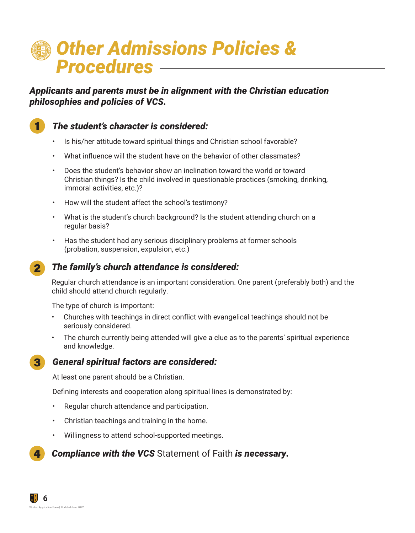## *Other Admissions Policies & Procedures*

*Applicants and parents must be in alignment with the Christian education philosophies and policies of VCS.*



#### *The student's character is considered:*

- Is his/her attitude toward spiritual things and Christian school favorable?
- What influence will the student have on the behavior of other classmates?
- Does the student's behavior show an inclination toward the world or toward Christian things? Is the child involved in questionable practices (smoking, drinking, immoral activities, etc.)?
- How will the student affect the school's testimony?
- What is the student's church background? Is the student attending church on a regular basis?
- Has the student had any serious disciplinary problems at former schools (probation, suspension, expulsion, etc.)



#### *The family's church attendance is considered:*

Regular church attendance is an important consideration. One parent (preferably both) and the child should attend church regularly.

The type of church is important:

- Churches with teachings in direct conflict with evangelical teachings should not be seriously considered.
- The church currently being attended will give a clue as to the parents' spiritual experience and knowledge.



#### *General spiritual factors are considered:*

At least one parent should be a Christian.

Defining interests and cooperation along spiritual lines is demonstrated by:

- Regular church attendance and participation.
- Christian teachings and training in the home.
- Willingness to attend school-supported meetings.

#### *Compliance with the VCS* Statement of Faith *is necessary.* 4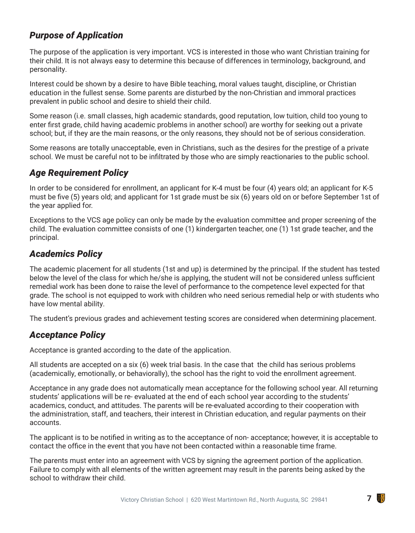#### *Purpose of Application*

The purpose of the application is very important. VCS is interested in those who want Christian training for their child. It is not always easy to determine this because of differences in terminology, background, and personality.

Interest could be shown by a desire to have Bible teaching, moral values taught, discipline, or Christian education in the fullest sense. Some parents are disturbed by the non-Christian and immoral practices prevalent in public school and desire to shield their child.

Some reason (i.e. small classes, high academic standards, good reputation, low tuition, child too young to enter first grade, child having academic problems in another school) are worthy for seeking out a private school; but, if they are the main reasons, or the only reasons, they should not be of serious consideration.

Some reasons are totally unacceptable, even in Christians, such as the desires for the prestige of a private school. We must be careful not to be infiltrated by those who are simply reactionaries to the public school.

#### *Age Requirement Policy*

In order to be considered for enrollment, an applicant for K-4 must be four (4) years old; an applicant for K-5 must be five (5) years old; and applicant for 1st grade must be six (6) years old on or before September 1st of the year applied for.

Exceptions to the VCS age policy can only be made by the evaluation committee and proper screening of the child. The evaluation committee consists of one (1) kindergarten teacher, one (1) 1st grade teacher, and the principal.

#### *Academics Policy*

The academic placement for all students (1st and up) is determined by the principal. If the student has tested below the level of the class for which he/she is applying, the student will not be considered unless sufficient remedial work has been done to raise the level of performance to the competence level expected for that grade. The school is not equipped to work with children who need serious remedial help or with students who have low mental ability.

The student's previous grades and achievement testing scores are considered when determining placement.

#### *Acceptance Policy*

Acceptance is granted according to the date of the application.

All students are accepted on a six (6) week trial basis. In the case that the child has serious problems (academically, emotionally, or behaviorally), the school has the right to void the enrollment agreement.

Acceptance in any grade does not automatically mean acceptance for the following school year. All returning students' applications will be re- evaluated at the end of each school year according to the students' academics, conduct, and attitudes. The parents will be re-evaluated according to their cooperation with the administration, staff, and teachers, their interest in Christian education, and regular payments on their accounts.

The applicant is to be notified in writing as to the acceptance of non- acceptance; however, it is acceptable to contact the office in the event that you have not been contacted within a reasonable time frame.

The parents must enter into an agreement with VCS by signing the agreement portion of the application. Failure to comply with all elements of the written agreement may result in the parents being asked by the school to withdraw their child.

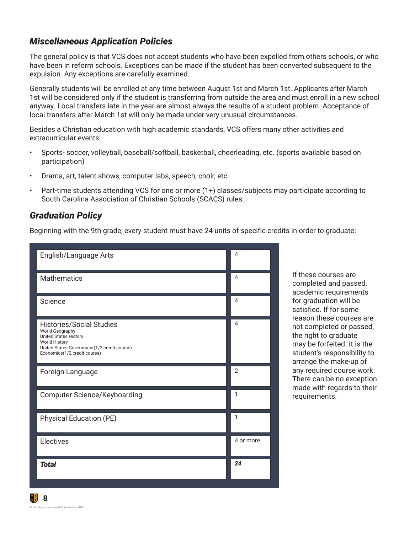#### *Miscellaneous Application Policies*

The general policy is that VCS does not accept students who have been expelled from others schools, or who have been in reform schools. Exceptions can be made if the student has been converted subsequent to the expulsion. Any exceptions are carefully examined.

Generally students will be enrolled at any time between August 1st and March 1st. Applicants after March 1st will be considered only if the student is transferring from outside the area and must enroll in a new school anyway. Local transfers late in the year are almost always the results of a student problem. Acceptance of local transfers after March 1st will only be made under very unusual circumstances.

Besides a Christian education with high academic standards, VCS offers many other activities and extracurricular events:

- Sports- soccer, volleyball, baseball/softball, basketball, cheerleading, etc. (sports available based on participation)
- Drama, art, talent shows, computer labs, speech, choir, etc.
- Part-time students attending VCS for one or more (1+) classes/subjects may participate according to South Carolina Association of Christian Schools (SCACS) rules.

#### *Graduation Policy*

Beginning with the 9th grade, every student must have 24 units of specific credits in order to graduate:

| English/Language Arts                                                                                                                                                                     | 4              |
|-------------------------------------------------------------------------------------------------------------------------------------------------------------------------------------------|----------------|
| <b>Mathematics</b>                                                                                                                                                                        | 4              |
| Science                                                                                                                                                                                   | 4              |
| <b>Histories/Social Studies</b><br>World Geography<br><b>United States History</b><br><b>World History</b><br>United States Government(1/2 credit course)<br>Economics(1/2 credit course) | 4              |
| Foreign Language                                                                                                                                                                          | $\overline{2}$ |
|                                                                                                                                                                                           |                |
| <b>Computer Science/Keyboarding</b>                                                                                                                                                       | $\mathbf{1}$   |
| <b>Physical Education (PE)</b>                                                                                                                                                            | 1              |
| Electives                                                                                                                                                                                 | 4 or more      |

If these courses are completed and passed, academic requirements for graduation will be satisfied. If for some reason these courses are not completed or passed, the right to graduate may be forfeited. It is the student's responsibility to arrange the make-up of any required course work. There can be no exception made with regards to their requirements.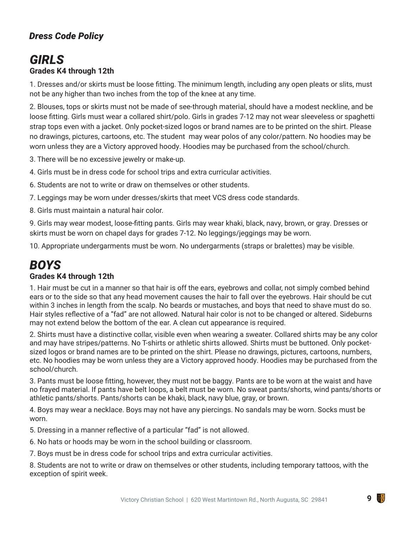#### *Dress Code Policy*

### *GIRLS* **Grades K4 through 12th**

1. Dresses and/or skirts must be loose fitting. The minimum length, including any open pleats or slits, must not be any higher than two inches from the top of the knee at any time.

2. Blouses, tops or skirts must not be made of see-through material, should have a modest neckline, and be loose fitting. Girls must wear a collared shirt/polo. Girls in grades 7-12 may not wear sleeveless or spaghetti strap tops even with a jacket. Only pocket-sized logos or brand names are to be printed on the shirt. Please no drawings, pictures, cartoons, etc. The student may wear polos of any color/pattern. No hoodies may be worn unless they are a Victory approved hoody. Hoodies may be purchased from the school/church.

3. There will be no excessive jewelry or make-up.

4. Girls must be in dress code for school trips and extra curricular activities.

6. Students are not to write or draw on themselves or other students.

7. Leggings may be worn under dresses/skirts that meet VCS dress code standards.

8. Girls must maintain a natural hair color.

9. Girls may wear modest, loose-fitting pants. Girls may wear khaki, black, navy, brown, or gray. Dresses or skirts must be worn on chapel days for grades 7-12. No leggings/jeggings may be worn.

10. Appropriate undergarments must be worn. No undergarments (straps or bralettes) may be visible.

#### *BOYS* **Grades K4 through 12th**

1. Hair must be cut in a manner so that hair is off the ears, eyebrows and collar, not simply combed behind ears or to the side so that any head movement causes the hair to fall over the eyebrows. Hair should be cut within 3 inches in length from the scalp. No beards or mustaches, and boys that need to shave must do so. Hair styles reflective of a "fad" are not allowed. Natural hair color is not to be changed or altered. Sideburns may not extend below the bottom of the ear. A clean cut appearance is required.

2. Shirts must have a distinctive collar, visible even when wearing a sweater. Collared shirts may be any color and may have stripes/patterns. No T-shirts or athletic shirts allowed. Shirts must be buttoned. Only pocketsized logos or brand names are to be printed on the shirt. Please no drawings, pictures, cartoons, numbers, etc. No hoodies may be worn unless they are a Victory approved hoody. Hoodies may be purchased from the school/church.

3. Pants must be loose fitting, however, they must not be baggy. Pants are to be worn at the waist and have no frayed material. If pants have belt loops, a belt must be worn. No sweat pants/shorts, wind pants/shorts or athletic pants/shorts. Pants/shorts can be khaki, black, navy blue, gray, or brown.

4. Boys may wear a necklace. Boys may not have any piercings. No sandals may be worn. Socks must be worn.

5. Dressing in a manner reflective of a particular "fad" is not allowed.

6. No hats or hoods may be worn in the school building or classroom.

7. Boys must be in dress code for school trips and extra curricular activities.

8. Students are not to write or draw on themselves or other students, including temporary tattoos, with the exception of spirit week.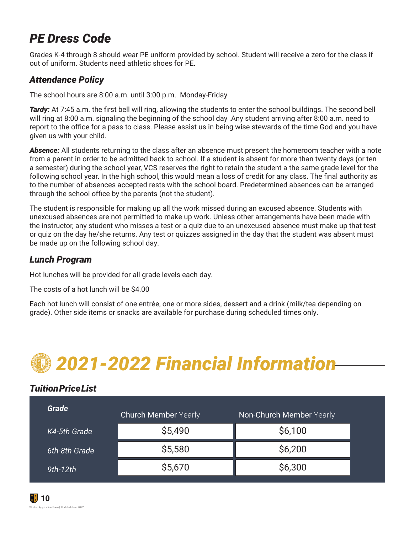## *PE Dress Code*

Grades K-4 through 8 should wear PE uniform provided by school. Student will receive a zero for the class if out of uniform. Students need athletic shoes for PE.

#### *Attendance Policy*

The school hours are 8:00 a.m. until 3:00 p.m. Monday-Friday

*Tardy:* At 7:45 a.m. the first bell will ring, allowing the students to enter the school buildings. The second bell will ring at 8:00 a.m. signaling the beginning of the school day .Any student arriving after 8:00 a.m. need to report to the office for a pass to class. Please assist us in being wise stewards of the time God and you have given us with your child.

*Absence:* All students returning to the class after an absence must present the homeroom teacher with a note from a parent in order to be admitted back to school. If a student is absent for more than twenty days (or ten a semester) during the school year, VCS reserves the right to retain the student a the same grade level for the following school year. In the high school, this would mean a loss of credit for any class. The final authority as to the number of absences accepted rests with the school board. Predetermined absences can be arranged through the school office by the parents (not the student).

The student is responsible for making up all the work missed during an excused absence. Students with unexcused absences are not permitted to make up work. Unless other arrangements have been made with the instructor, any student who misses a test or a quiz due to an unexcused absence must make up that test or quiz on the day he/she returns. Any test or quizzes assigned in the day that the student was absent must be made up on the following school day.

#### *Lunch Program*

Hot lunches will be provided for all grade levels each day.

The costs of a hot lunch will be \$4.00

Each hot lunch will consist of one entrée, one or more sides, dessert and a drink (milk/tea depending on grade). Other side items or snacks are available for purchase during scheduled times only.

## *2021-2022 Financial Information*

#### *Tuition Price List*

| Grade         | <b>Church Member Yearly</b> | Non-Church Member Yearly |
|---------------|-----------------------------|--------------------------|
| K4-5th Grade  | \$5,490                     | \$6,100                  |
| 6th-8th Grade | \$5,580                     | \$6,200                  |
| $9th-12th$    | \$5,670                     | \$6,300                  |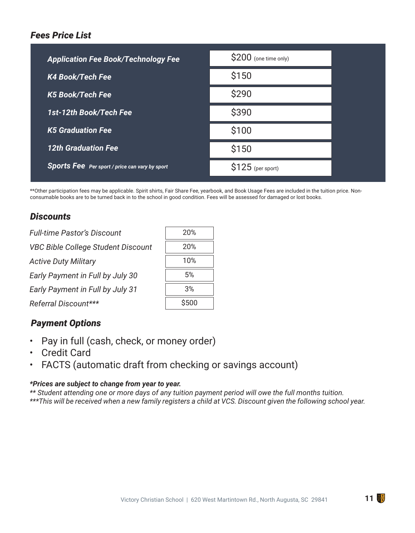#### *Fees Price List*

| <b>Application Fee Book/Technology Fee</b>            | \$200 (one time only) |
|-------------------------------------------------------|-----------------------|
| <b>K4 Book/Tech Fee</b>                               | \$150                 |
| <b>K5 Book/Tech Fee</b>                               | \$290                 |
| 1st-12th Book/Tech Fee                                | \$390                 |
| <b>K5 Graduation Fee</b>                              | \$100                 |
| <b>12th Graduation Fee</b>                            | \$150                 |
| <b>Sports Fee</b> Per sport / price can vary by sport | $$125$ (per sport)    |

\*\*Other participation fees may be applicable. Spirit shirts, Fair Share Fee, yearbook, and Book Usage Fees are included in the tuition price. Nonconsumable books are to be turned back in to the school in good condition. Fees will be assessed for damaged or lost books.

#### *Discounts*

| <b>Full-time Pastor's Discount</b>        | 20%   |
|-------------------------------------------|-------|
| <b>VBC Bible College Student Discount</b> | 20%   |
| <b>Active Duty Military</b>               | 10%   |
| Early Payment in Full by July 30          | 5%    |
| Early Payment in Full by July 31          | 3%    |
| Referral Discount***                      | \$500 |

#### *Payment Options*

- Pay in full (cash, check, or money order)
- Credit Card
- FACTS (automatic draft from checking or savings account)

#### *\*Prices are subject to change from year to year.*

*\*\* Student attending one or more days of any tuition payment period will owe the full months tuition. \*\*\*This will be received when a new family registers a child at VCS. Discount given the following school year.*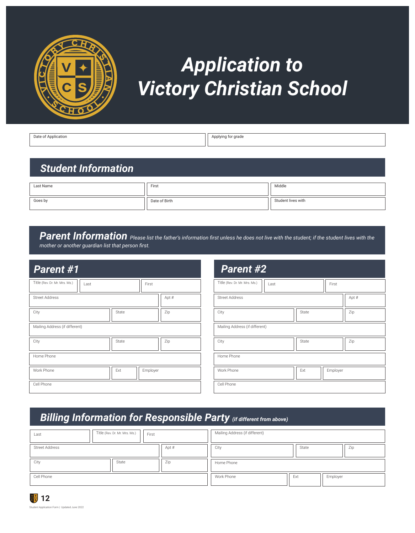

## *Application to Victory Christian School*

Date of Application **Application** Applying for grade

### *Student Information*

| Last Name | First         | Middle             |
|-----------|---------------|--------------------|
| Goes by   | Date of Birth | Student lives with |

## **Parent Information** Please list the father's information first unless he does not live with the student; if the student lives with the

*mother or another guardian list that person first.*

| Parent #1                             |          |       | Parent #2                      |      |       |          |
|---------------------------------------|----------|-------|--------------------------------|------|-------|----------|
| Title (Rev. Dr. Mr. Mrs. Ms.)<br>Last | First    |       | Title (Rev. Dr. Mr. Mrs. Ms.)  | Last |       | First    |
| <b>Street Address</b>                 |          | Apt # | <b>Street Address</b>          |      |       | Apt #    |
| City<br>State                         |          | Zip   | City                           |      | State | Zip      |
| Mailing Address (if different)        |          |       | Mailing Address (if different) |      |       |          |
| City<br>State                         |          | Zip   | City                           |      | State | Zip      |
| Home Phone                            |          |       | Home Phone                     |      |       |          |
| Work Phone<br>Ext                     | Employer |       | Work Phone                     |      | Ext   | Employer |
| Cell Phone                            |          |       | Cell Phone                     |      |       |          |

### *Billing Information for Responsible Party (if different from above)*

| Title (Rev. Dr. Mr. Mrs. Ms.)<br>First<br>Last |       | Mailing Address (if different) |       |          |
|------------------------------------------------|-------|--------------------------------|-------|----------|
| <b>Street Address</b>                          | Apt # | City                           | State | Zip      |
| City<br>Zip<br>State                           |       | Home Phone                     |       |          |
| Cell Phone                                     |       | Work Phone                     | Ext   | Employer |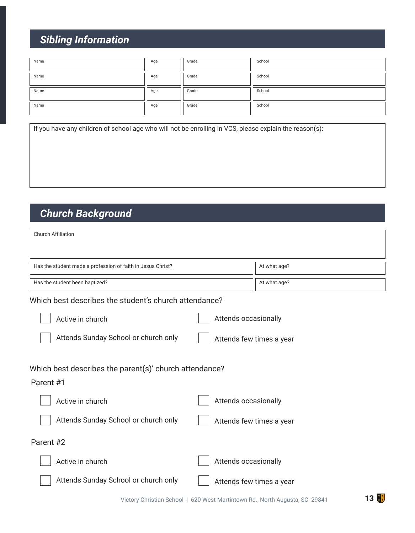## *Sibling Information*

| Name | Age | Grade | School |
|------|-----|-------|--------|
| Name | Age | Grade | School |
| Name | Age | Grade | School |
| Name | Age | Grade | School |

If you have any children of school age who will not be enrolling in VCS, please explain the reason(s):

## *Church Background*

| <b>Church Affiliation</b>                                           |                          |              |
|---------------------------------------------------------------------|--------------------------|--------------|
| Has the student made a profession of faith in Jesus Christ?         |                          | At what age? |
| Has the student been baptized?                                      |                          | At what age? |
| Which best describes the student's church attendance?               |                          |              |
| Active in church                                                    | Attends occasionally     |              |
| Attends Sunday School or church only                                | Attends few times a year |              |
| Which best describes the parent(s)' church attendance?<br>Parent #1 |                          |              |
| Active in church                                                    | Attends occasionally     |              |
| Attends Sunday School or church only                                | Attends few times a year |              |
| Parent #2                                                           |                          |              |
| Active in church                                                    | Attends occasionally     |              |
| Attends Sunday School or church only                                | Attends few times a year |              |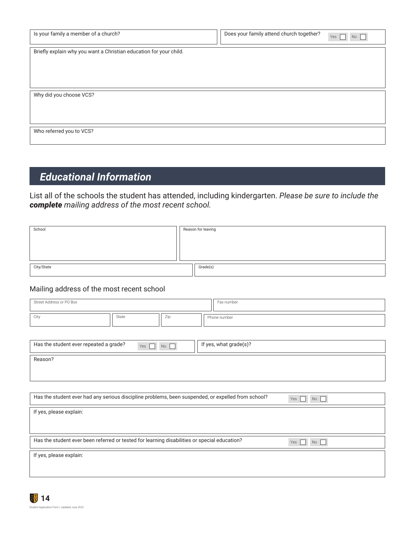| Is your family a member of a church?                               | Does your family attend church together? | Yes<br>No |
|--------------------------------------------------------------------|------------------------------------------|-----------|
| Briefly explain why you want a Christian education for your child. |                                          |           |
|                                                                    |                                          |           |
|                                                                    |                                          |           |
| Why did you choose VCS?                                            |                                          |           |
|                                                                    |                                          |           |
|                                                                    |                                          |           |
| Who referred you to VCS?                                           |                                          |           |

### *Educational Information*

List all of the schools the student has attended, including kindergarten. *Please be sure to include the complete mailing address of the most recent school.*

| School     | Reason for leaving |          |
|------------|--------------------|----------|
|            |                    |          |
|            |                    |          |
|            |                    |          |
| City/State |                    | Grade(s) |
|            |                    |          |

#### Mailing address of the most recent school

| Street Address or PO Box                                                                           |       |     | Fax number             |                  |
|----------------------------------------------------------------------------------------------------|-------|-----|------------------------|------------------|
| City                                                                                               | State | Zip | Phone number           |                  |
|                                                                                                    |       |     |                        |                  |
| Has the student ever repeated a grade?                                                             | Yes   | No  | If yes, what grade(s)? |                  |
| Reason?                                                                                            |       |     |                        |                  |
|                                                                                                    |       |     |                        |                  |
|                                                                                                    |       |     |                        |                  |
| Has the student ever had any serious discipline problems, been suspended, or expelled from school? |       |     |                        | Yes<br><b>No</b> |
| If yes, please explain:                                                                            |       |     |                        |                  |
|                                                                                                    |       |     |                        |                  |
| Has the student ever been referred or tested for learning disabilities or special education?       |       |     |                        | Yes<br>No        |
| If yes, please explain:                                                                            |       |     |                        |                  |
|                                                                                                    |       |     |                        |                  |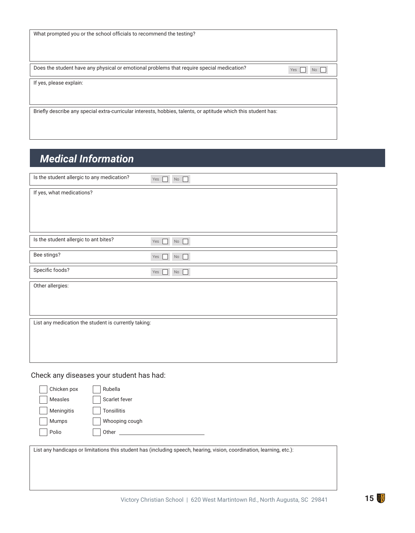| What prompted you or the school officials to recommend the testing? |  |
|---------------------------------------------------------------------|--|
|---------------------------------------------------------------------|--|

Does the student have any physical or emotional problems that require special medication?

If yes, please explain:

Briefly describe any special extra-curricular interests, hobbies, talents, or aptitude which this student has:

### *Medical Information*

| Is the student allergic to any medication?           | No<br>Yes $\Box$         |
|------------------------------------------------------|--------------------------|
| If yes, what medications?                            |                          |
|                                                      |                          |
|                                                      |                          |
|                                                      |                          |
| Is the student allergic to ant bites?                | $\Box$<br>Yes<br>┓<br>No |
| Bee stings?                                          | П<br>Yes<br>$\rm No$     |
| Specific foods?                                      | Yes<br>П<br><b>No</b>    |
| Other allergies:                                     |                          |
|                                                      |                          |
|                                                      |                          |
| List any medication the student is currently taking: |                          |
|                                                      |                          |
|                                                      |                          |
|                                                      |                          |

Check any diseases your student has had:

| Chicken pox | Rubella                                                                                                               |
|-------------|-----------------------------------------------------------------------------------------------------------------------|
| Measles     | Scarlet fever                                                                                                         |
| Meningitis  | <b>Tonsillitis</b>                                                                                                    |
| Mumps       | Whooping cough                                                                                                        |
| Polio       | Other                                                                                                                 |
|             |                                                                                                                       |
|             | List any handicaps or limitations this student has (including speech, hearing, vision, coordination, learning, etc.): |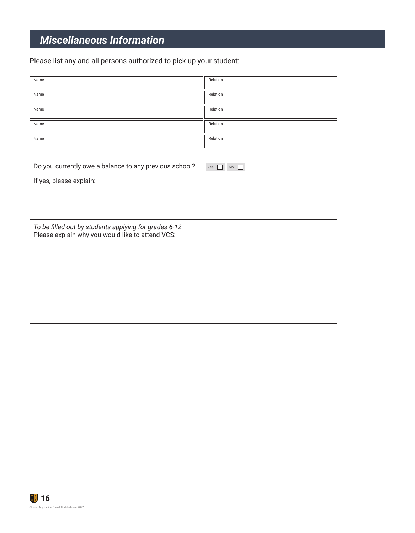## *Miscellaneous Information*

Please list any and all persons authorized to pick up your student:

| Name | Relation |
|------|----------|
| Name | Relation |
| Name | Relation |
| Name | Relation |
| Name | Relation |
|      |          |

| Do you currently owe a balance to any previous school?                                                    | Yes<br><b>No</b> |
|-----------------------------------------------------------------------------------------------------------|------------------|
| If yes, please explain:                                                                                   |                  |
|                                                                                                           |                  |
|                                                                                                           |                  |
|                                                                                                           |                  |
| To be filled out by students applying for grades 6-12<br>Please explain why you would like to attend VCS: |                  |
|                                                                                                           |                  |
|                                                                                                           |                  |
|                                                                                                           |                  |
|                                                                                                           |                  |
|                                                                                                           |                  |
|                                                                                                           |                  |
|                                                                                                           |                  |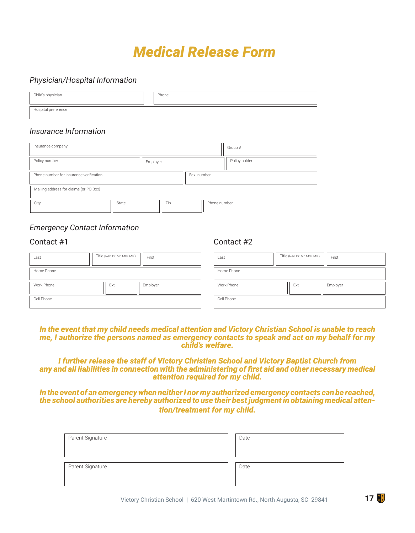## *Medical Release Form*

#### *Physician/Hospital Information*

| Child's physician   | Phone |
|---------------------|-------|
| Hospital preference |       |

#### *Insurance Information*

| Insurance company                       |            | Group #       |  |  |
|-----------------------------------------|------------|---------------|--|--|
| Policy number                           | Employer   | Policy holder |  |  |
| Phone number for insurance verification | Fax number |               |  |  |
| Mailing address for claims (or PO Box)  |            |               |  |  |
| City<br>State                           | Zip        | Phone number  |  |  |

#### *Emergency Contact Information*

#### Contact #1 Contact #2

| Last       | Title (Rev. Dr. Mr. Mrs. Ms.) | First    | Last       | Title (Rev. Dr. Mr. Mrs. Ms.) | First    |
|------------|-------------------------------|----------|------------|-------------------------------|----------|
| Home Phone |                               |          | Home Phone |                               |          |
| Work Phone | Ext                           | Employer | Work Phone | Ext                           | Employer |
|            |                               |          |            |                               |          |

#### *In the event that my child needs medical attention and Victory Christian School is unable to reach me, I authorize the persons named as emergency contacts to speak and act on my behalf for my child's welfare.*

*I further release the staff of Victory Christian School and Victory Baptist Church from any and all liabilities in connection with the administering of first aid and other necessary medical attention required for my child.*

*In the event of an emergency when neither I nor my authorized emergency contacts can be reached, the school authorities are hereby authorized to use their best judgment in obtaining medical attention/treatment for my child.*

| Parent Signature | Date |
|------------------|------|
| Parent Signature | Date |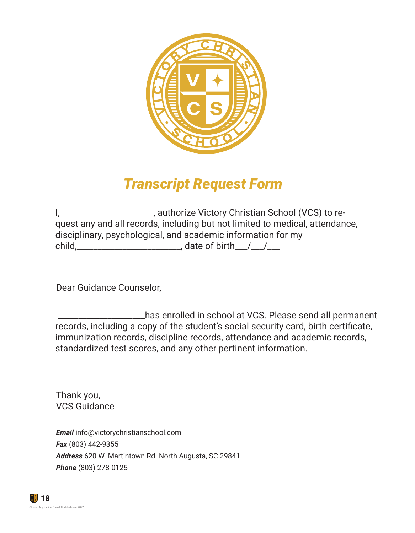

## *Transcript Request Form*

|        | _, authorize Victory Christian School (VCS) to re-                           |
|--------|------------------------------------------------------------------------------|
|        | quest any and all records, including but not limited to medical, attendance, |
|        | disciplinary, psychological, and academic information for my                 |
| child. |                                                                              |

Dear Guidance Counselor,

 \_\_\_\_\_\_\_\_\_\_\_\_\_\_\_\_\_\_\_\_\_has enrolled in school at VCS. Please send all permanent records, including a copy of the student's social security card, birth certificate, immunization records, discipline records, attendance and academic records, standardized test scores, and any other pertinent information.

Thank you, VCS Guidance

*Email* info@victorychristianschool.com *Fax* (803) 442-9355 *Address* 620 W. Martintown Rd. North Augusta, SC 29841 *Phone* (803) 278-0125